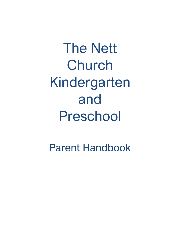The Nett Church Kindergarten and Preschool

Parent Handbook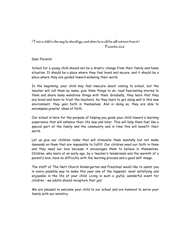# " $\top$ rain a child in the way he should go, and when he is old he will not turn from it." Proverbs 22:6

Dear Parents:

School for a young child should not be a drastic change from their family and home situation. It should be a place where they feel loved and secure, and it should be a place where they are guided toward widening their world.

In the beginning, your child may feel insecure about coming to school, but the teacher will call them by name, give them things to do, read fascinating stories to them and share many wondrous things with them. Gradually, they learn that they are loved and learn to trust the teachers. As they learn to get along well in this new environment, they gain faith in themselves. And in doing so, they are able to encompass greater ideas of faith.

Our school is here for the purpose of helping you guide your child toward a learning experience that will enhance their life now and later. This will help them feel like a special part of the family and the community and in time this will benefit their world.

Let us give our children tasks that will stimulate them mentally but not make demands on them that are impossible to fulfill. Our children need our faith in them and they need our love because it encourages them to believe in themselves. Children, who learn at an early age, by a teacher's tenderness and the warmth of a parent's love, have no difficulty with the learning process and a good self-image.

The staff of The Nett Church Kindergarten and Preschool would like to assist you in every possible way to make this year one of the happiest, most satisfying and enjoyable in the life of your child. Living is such a joyful, wonderful event for children - we adults should recapture that joy!

We are pleased to welcome your child to our school and are honored to serve your family with our ministry.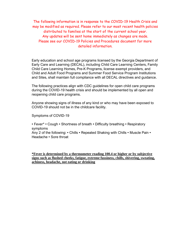The following information is in response to the COVID-19 Health Crisis and may be modified as required. Please refer to our most recent health policies distributed to families at the start of the current school year. Any updates will be sent home immediately as changes are made. Please see our COVID-19 Policies and Procedures document for more detailed information.

Early education and school age programs licensed by the Georgia Department of Early Care and Learning (DECAL), including Child Care Learning Centers, Family Child Care Learning Homes, Pre-K Programs, license exempt providers, and Child and Adult Food Programs and Summer Food Service Program Institutions and Sites, shall maintain full compliance with all DECAL directives and guidance.

The following practices align with CDC guidelines for open child care programs during the COVID-19 health crisis and should be implemented by all open and reopening child care programs.

Anyone showing signs of illness of any kind or who may have been exposed to COVID-19 should not be in the childcare facility.

Symptoms of COVID-19

• Fever\* • Cough • Shortness of breath • Difficulty breathing • Respiratory symptoms Any 2 of the following: • Chills • Repeated Shaking with Chills • Muscle Pain •

Headache • Sore throat

**\*Fever is determined by a thermometer reading 100.4 or higher or by subjective signs such as flushed cheeks, fatigue, extreme fussiness, chills, shivering, sweating, achiness, headache, not eating or drinking**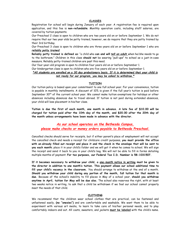# **CLASSES**

Registration for school will begin during January of each year. A registration fee is required upon application, and this fee is **non-refundable**. Monthly operation costs, including staff salaries, are covered by tuition payments.

Our Preschool 2 class is open to children who are two years old on or before September 1. We do not require that our two year olds be potty trained, however, we do require that they are potty trained by their 3rd birthday.

Our Preschool 3 class is open to children who are three years old on or before September 1 who are *reliably potty trained*.

**Reliably potty trained is defined as**: "a child who **can and will** *tell an adult* when he/she needs to go to the bathroom." Children in this class **should not** be wearing "pull-ups" to school as a just-in-case measure. Reliably potty-trained children are past this need.

Our four-year-old program is open to children four years old on or before September 1.

Our kindergarten class is open to children who are five years old on or before September 1.

# *\*All students are enrolled on a 30 day probationary basis. If it is determined that your child is not ready for our program, you may be asked to withdraw.\**

# **TUITION**

Our tuition policy is based upon your commitment to one full school year. For your convenience, tuition is payable in monthly installments. A discount of 10% is given if the full year's tuition is paid before September  $30<sup>th</sup>$  of the current school year. We cannot make tuition exemptions for holidays or other absences including absences due to travel abroad. If tuition is not paid during extended absences, your child will lose placement in his/her class.

**Tuition is due the first of each month, one month in advance. A late fee of \$10.00 will be charged for tuition paid after the 10th day of the month, and \$20.00 after the 20th day of the month unless arrangements have been made in advance with the director.**

*As our school operates on the Bethesda Campus, please make checks or money orders payable to Bethesda Preschool.*

Cancelled checks should serve for receipts, but if either parent's place of employment will not accept the cancelled check and needs a receipt for childcare credit purposes, **you must provide the office with an already filled out receipt and place it and the check in the envelope that will be sent to you each month**; place it in your child's folder and we will get it when he comes to school. We will sign the receipt and send it back to you in your child's bag. We will not be able to fill in forms detailing multiple months of payment. **For tax purposes, our Federal Tax I.D. Number is 58-1031507.**

**If it becomes necessary to withdraw your child, a one-month notice in writing must be given to the director in addition to one month's tuition. This payment allows our school additional time to fill your child's vacancy in the classroom.** You should arrange to withdraw at the end of a month. **Should you withdraw your child during any portion of the month, full tuition for that month is due.** Because of the school's inability to fill places in May of a school year, **should you withdraw anytime in April, tuition for May will be due also.** The school also reserves the right, with at least two weeks notice in writing, to ask that a child be withdrawn if we feel our school cannot properly meet the needs of that child.

# **CLOTHING**

We recommend that the children wear school clothes that are practical, can be fastened and unfastened easily, **(no "onesies")** and are comfortable and washable. We want them to be able to experiment with various art media, to learn to take care of his/her personal needs, and to play comfortably indoors and out. All coats, sweaters, and jackets **must be labeled** with the child's name.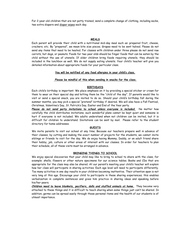For 2-year-old children that are not potty trained, send a complete change of clothing, including socks, two extra diapers and diaper wipes each day.

# **MEALS**

Each parent will provide their child with a nutritional mid-day meal such as: prepared fruit, cheese, crackers, etc. By "prepared", we mean bite size pieces. Grapes need to be sent halved. Please do not send any items that need to be heated. For classes with children under three please do not send raw carrots, hot dogs, or peanuts. Foods for two year olds should be finger foods that can be eaten by the child without the use of utensils. If older children bring foods requiring utensils, they should be included in the lunchbox as well. We do not supply eating utensils. Your child's teacher will give you detailed information about appropriate foods for your particular class.

# **You will be notified of any food allergies in your child's class.**

# **Please be mindful of this when sending in snacks for the class.**

# **BIRTHDAYS**

Each child's birthday is important. We place emphasis on it by providing a special sticker or crown for them to wear on their special day and letting them be the "child of the day". If parents would like to visit or send a special snack, you are invited to do so. Should your child's birthday fall during the summer months, you may pick a special "pretend" birthday if desired. We will also have a Fall Festival, Christmas, Valentine's Day, St. Patrick's Day, Easter and End of the Year party.

*Please do not send party invitations to school unless everyone is included.* No matter how carefully the child distributes invitations, such wonderful plans cannot be kept quiet and someone is hurt if everyone is not included. We adults understand when not children can be invited, but it is difficult for children to understand. Invitations can be sent by mail. Please refer to the student directory for home addresses.

# **GUESTS**

We invite parents to visit our school at any time. Because our teachers prepare well in advance of their classes, by cutting and making the exact number of projects for the students, we cannot invite siblings or friends to visit for the day. We do enjoy having Mommy, Daddy, or an adult friend share their hobby, job, culture or other areas of interest with our classes. In order for teachers to plan their schedule, all of these visits must be arranged in advance.

# **BRINGING THINGS TO SCHOOL**

We enjoy special discoveries that your child may like to bring to school to share with the class, for example: shells, flowers or other nature specimens for our science tables. Books and CDs that are appropriate for the class may also be shared. At our parent's meeting your child's teacher will explain how her class will participate in sharing activities. Each age level will need to participate differently. Too many activities in one day results in your children becoming inattentive. Their attention span is not very long at this age. Encourage your child to participate in these sharing experiences; this enables verbalization in complete sentences and gives him practice in sharing ideas and speaking before his/her peers.

*Children need to leave blankets, pacifiers, dolls and stuffed animals at home.* They become very attached to these things and it is difficult to teach sharing when some things just can't be shared. In addition, germs can be spread easily through these personal items and the health of our students is of utmost importance.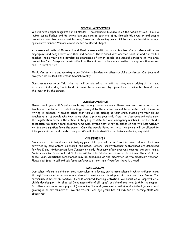# **SPECIAL ACTIVITIES**

We will have chapel programs for all classes. The emphasis in Chapel is on the nature of God - He is a loving, caring Father and He shows love and care to each one of us through His creation and people around us. We also learn about his son, Jesus and his saving grace. All lessons are taught in an age appropriate manner. You are always invited to attend Chapel.

All classes will attend Movement and Music classes with our music teacher. Our students will learn fingerplays and songs, both Christian and secular. These times with another adult, in addition to his teacher, helps your child develop an awareness of other people and special concepts of the area around him/her. Songs and music stimulate the children to be more creative, to express themselves and... it's lots of fun!

Media Center visits and working in our Children's Garden are other special experiences. Our four and five year old classes also attend Spanish weekly.

Our classes may go on field trips that will be related to the unit that they are studying at the time. All students attending these field trips must be accompanied by a parent and transported to and from the location by the parent.

#### **CORRESPONDENCE**

Please check your child's folder each day for any correspondence. Please send written notes to the teacher in this folder as verbal messages brought by the children cannot be accepted. Let us know in writing, in advance, if anyone other than you will be picking up your child. Please give your child's teacher a list of people who have permission to pick up your child from the classroom and make sure the registration form in the office is always up to date for your emergency numbers. For the child's protection, we cannot send children home with anyone that is not on either of the two lists without written confirmation from the parent. Only the people listed on these two forms will be allowed to take your child without a note from you. We will check identification before releasing any child.

# **CONFERENCES**

Since a mutual interest exists in helping your child, you will be kept well informed of our classroom activities by newsletters, calendars, and notes. Personal parent/teacher conferences are scheduled for Pre-K and Kindergarten late January or early February after progress reports are sent home. Conferences for Preschool 2 & 3 classes will be scheduled on an as needed basis near the end of the school year. Additional conferences may be scheduled at the discretion of the classroom teacher. Please feel free to call and ask for a conference at any time if you feel there is a need.

#### **CURRICULUM**

Our school offers a child-centered curriculum in a loving, caring atmosphere in which children learn through "hands-on" experiences are allowed to mature and develop within their own time frame. The curriculum is based on positive, success oriented learning activities. We focus on all aspects of a child's development - intellectual (readiness skills of all types), social and emotional (exhibiting respect for others and ourselves), physical (developing fine and gross motor skills), and spiritual (learning and growing in an environment of love and trust). Each age group has its own set of learning skills and objectives.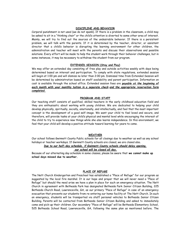# **DISCIPLINE AND BEHAVIOR**

Corporal punishment is not used (we do not spank). If there is a problem in the classroom, a child may be asked to sit in a "thinking chair" or the child's attention is diverted to some other area of interest. Mainly, we will try to find out the sources of the undesirable behavior. If there is a persistent problem, we will talk with the parents. If it is determined by the teacher, director, or assistant director that a child's behavior is disrupting the learning environment for other children, the administration and teacher will meet with the parents and discuss their observations and possible solutions. Every effort will be made to help the student work through their behavior challenges, but in some instances, it may be necessary to withdraw the student from our program.

#### **EXTENDED SESSION (Stay and Play)**

We may offer an extended day consisting of free play and outside activities weekly with days being determined based on interest and participation. To comply with state regulations, extended session will begin at 1:00 pm and will dismiss no later than 2:00 pm. Dismissal time from Extended Session will be determined by administration based on staff availability and parent participation. Information on cost is available through the school office. Extended session fees are *payable at the beginning of each month with your monthly tuition in a separate check and the appropriate reservation form completed.*

## **PROGRAM AND STAFF**

Our teaching staff consists of qualified, skilled teachers in the early childhood education field and they are enthusiastic about working with young children. We are dedicated to helping your child develop physically, spiritually, socially, emotionally, and intellectually, and feel that the most important concept is the development of a good self-image. We want your child to feel loved and secure, and therefore, will provide tasks at your child's physical and mental level while encouraging the interest of the child to try to experience new things while she also learns independence. In this environment, we feel that your child will develop a positive attitude toward learning for years to come.

# **WEATHER**

Our school follows Gwinnett County Public schools for all closings due to weather as well as any school holidays or teacher workdays. If Gwinnett County schools are closed, we are closed also.

# *Due to our half-day schedule, if Gwinnett County schools should delay opening,*

# *our school will be closed all day.*

Because of our alternating day schedule in some classes, please be aware that **we cannot make up school days missed due to weather.**

# **PLACE OF REFUGE**

The Nett Church Kindergarten and Preschool has established a "Place of Refuge" for our program as suggested by the local fire marshal. It is our hope and prayer that we will never need a "Place of Refuge" but should the need arise we have a plan in place for such an emergency situation. The Nett Church in agreement with Bethesda Park has designated Bethesda Park Senior Citizen Building, 225 Bethesda Church Road, Lawrenceville, GA, as our primary "Place of Refuge" in case of an emergency evacuation that prevents our students from re-entering our home facility at The Nett Church. In such an emergency, students will be transported via staff personal vehicles to Bethesda Senior Citizen Building. Parents will be contacted from Bethesda Senior Citizen Building and asked to immediately come and pick-up their children. Our secondary "Place of Refuge" will be Bethesda Elementary School, 525 Bethesda School Road, Lawrenceville, GA, following the same plan as mentioned before. The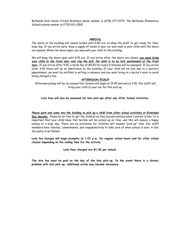Bethesda Park Senior Citizen Building's phone number is (678) 277-0179. The Bethesda Elementary School's phone number is (770) 921-2000.

# **ARRIVAL**

The doors to the building will remain locked until 9:00 a.m. to allow the staff to get ready for their busy day. If you arrive early, keep a supply of books in your car and read to your child until the doors are opened. When the doors open, you may walk your child to the building.

We will keep the doors open until 9:15 a.m. If you arrive after the doors are closed, *you must bring your child to the front door and ring the bell. No child is to be left unattended at the front door.* If you arrive after 9:15, a tardy fee of \$5.00 for every 5 minutes will be assessed. If you arrive after 9:30 there will be no admittance to the building. If your child will be late due to a doctor's appointment, we must be notified in writing in advance and you must bring in a doctor's note to avoid being charged a fee.

# **AFTERNOON PICKUP**

Afternoon pickup will be via carpool line. Carpool will begin at 12:45 and end at 1:00. Our staff will bring your child to your car for this pick up.

**Late fees will also be assessed for late pick ups after any After School Activities.**

*Please park and come into the building to pick up a child from after school activities or Extended Day Session.* Please be on time to get the children as they become anxious when a parent is late. It is important that your child know that he/she will be picked up on time, and this will ensure a happy ending to a busy day. There are no provisions for children left beyond "pick-up" time. Our staff members have families, commitments, and responsibilities to take care of when school is over. A late fee policy is as follows:

**Late fee charges will begin promptly at 1:01 p.m. for regular school hours and for after school classes depending on the ending time for the activity.**

**Late fees charged are \$1.00 per minute**

**The late fee must be paid on the day of the late pick-up. In the event there is a chronic problem with late pick-up, additional action may become necessary.**